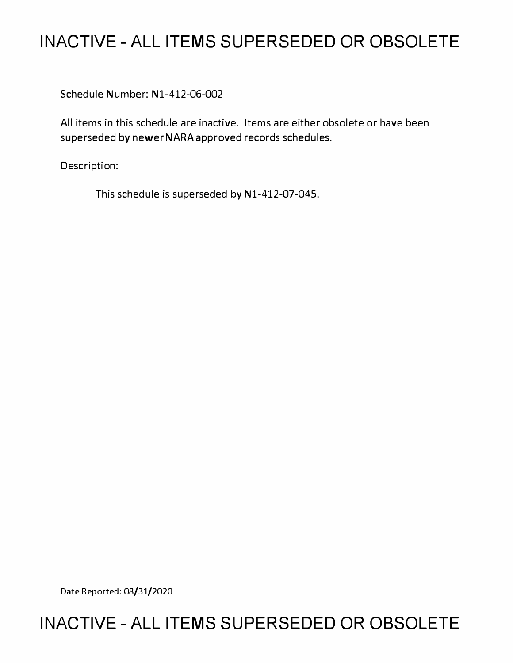# **INACTIVE-ALL ITEMS SUPERSEDED OR OBSOLETE**

Schedule Number: Nl-412-06-002

All items in this schedule are inactive. Items are either obsolete or have been superseded by newer NARA approved records schedules.

Description:

This schedule is superseded by N1-412-07-045.

Date Reported: 08/31/2020

# **INACTIVE-ALL ITEMS SUPERSEDED OR OBSOLETE**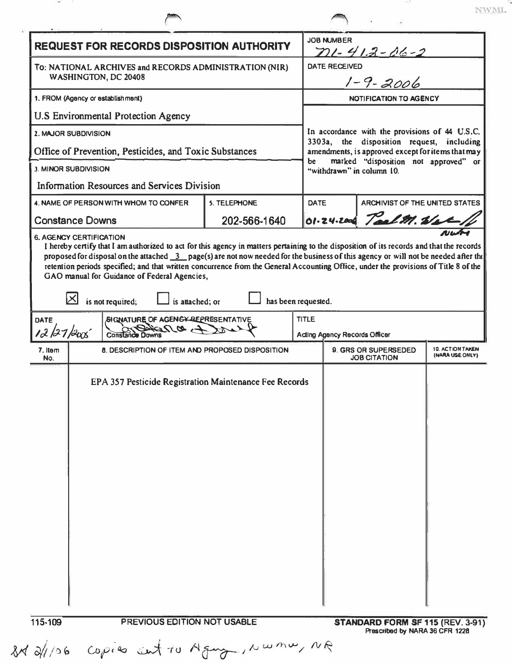| <b>REQUEST FOR RECORDS DISPOSITION AUTHORITY</b>                               |                                                                                                                                                                                                                                                                   |                     |                                     | <b>JOB NUMBER</b><br>$71 - 413 - 06 - 2$                                                       |                                                                    |  |  |
|--------------------------------------------------------------------------------|-------------------------------------------------------------------------------------------------------------------------------------------------------------------------------------------------------------------------------------------------------------------|---------------------|-------------------------------------|------------------------------------------------------------------------------------------------|--------------------------------------------------------------------|--|--|
| To: NATIONAL ARCHIVES and RECORDS ADMINISTRATION (NIR)<br>WASHINGTON, DC 20408 |                                                                                                                                                                                                                                                                   |                     |                                     | <b>DATE RECEIVED</b><br>$1 - 9 - 2006$                                                         |                                                                    |  |  |
| 1. FROM (Agency or establishment)                                              |                                                                                                                                                                                                                                                                   |                     |                                     | <b>NOTIFICATION TO AGENCY</b>                                                                  |                                                                    |  |  |
| <b>U.S Environmental Protection Agency</b>                                     |                                                                                                                                                                                                                                                                   |                     |                                     |                                                                                                |                                                                    |  |  |
| 2. MAJOR SUBDIVISION                                                           |                                                                                                                                                                                                                                                                   |                     |                                     | In accordance with the provisions of 44 U.S.C.                                                 |                                                                    |  |  |
| Office of Prevention, Pesticides, and Toxic Substances                         |                                                                                                                                                                                                                                                                   |                     |                                     | 3303a, the disposition request, including<br>amendments, is approved except for items that may |                                                                    |  |  |
| <b>J. MINOR SUBDIVISION</b>                                                    |                                                                                                                                                                                                                                                                   |                     | be                                  | marked "disposition not approved" or<br>"withdrawn" in column 10.                              |                                                                    |  |  |
| Information Resources and Services Division                                    |                                                                                                                                                                                                                                                                   |                     |                                     |                                                                                                |                                                                    |  |  |
|                                                                                | 4. NAME OF PERSON WITH WHOM TO CONFER                                                                                                                                                                                                                             | <b>S. TELEPHONE</b> |                                     | <b>ARCHIVIST OF THE UNITED STATES</b><br><b>DATE</b>                                           |                                                                    |  |  |
|                                                                                | <b>Constance Downs</b>                                                                                                                                                                                                                                            | 202-566-1640        |                                     |                                                                                                | 01.24.200 TaelM. Wet                                               |  |  |
| <b>DATE</b>                                                                    | retention periods specified; and that written concurrence from the General Accounting Office, under the provisions of Title 8 of the<br>GAO manual for Guidance of Federal Agencies,<br>is not required;<br>is attached; or<br>SIGNATURE OF AGENGY-REPRESENTATIVE |                     | has been requested.<br><b>TITLE</b> |                                                                                                |                                                                    |  |  |
|                                                                                | $\sim 20\Omega$<br>12/27/2005<br><b>Constance Downs</b>                                                                                                                                                                                                           |                     |                                     | <b>Acting Agency Records Officer</b>                                                           |                                                                    |  |  |
| 7. Item<br>No.                                                                 | 8. DESCRIPTION OF ITEM AND PROPOSED DISPOSITION                                                                                                                                                                                                                   |                     |                                     | 9. GRS OR SUPERSEDED<br><b>10. ACTION TAKEN</b><br>(NARA USE ONLY)<br><b>JOB CITATION</b>      |                                                                    |  |  |
|                                                                                | EPA 357 Pesticide Registration Maintenance Fee Records                                                                                                                                                                                                            |                     |                                     |                                                                                                |                                                                    |  |  |
| 115-109                                                                        | PREVIOUS EDITION NOT USABLE                                                                                                                                                                                                                                       |                     |                                     |                                                                                                | STANDARD FORM SF 115 (REV. 3-91)<br>Prescribed by NARA 36 CFR 1228 |  |  |

NWML.

It all 106 copies sent to Agenz, Nwmw, NR

-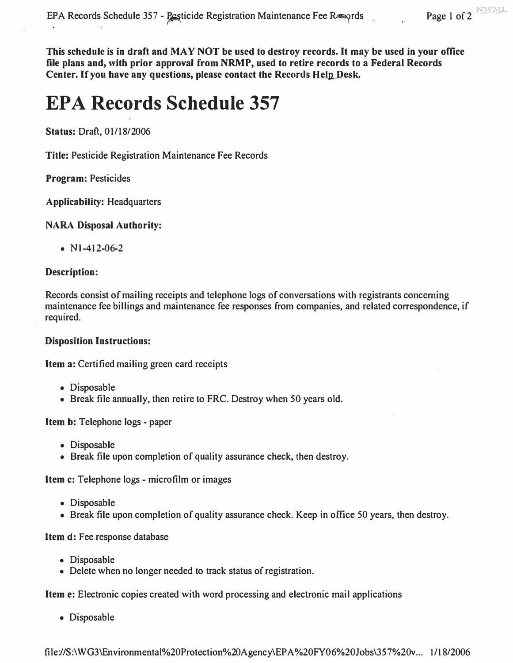**This schedule is in draft and MAY NOT be used to destroy records. It may be used in your office file plans and, with prior approval from NRMP, used to retire records to a Federal Records Center. If you have any questions, please contact the Records Help Desk.** 

# **EPA Records Schedule 357**

**Status: Draft, 01/18/2006** 

**Title: Pesticide Registration Maintenance Fee Records** 

#### **Program: Pesticides**

**Applicability: Headquarters** 

### **NARA Disposal Authority:**

**• Nl-412-06-2** 

#### **Description:**

**Records consist of mailing receipts and telephone logs of conversations with registrants concerning maintenance fee billings and maintenance fee responses from companies, and related correspondence, if required.** 

### **Disposition Instructions:**

**Item a: Certified mailing green card receipts** 

- **Disposable**
- **Break file annually, then retire to FRC. Destroy when 50 years old.**

#### **Item b: Telephone logs - paper**

- **Disposable**
- **Break file upon completion of quality assurance check, then destroy.**

**Item c: Telephone logs - microfilm or images** 

- **Disposable**
- **Break file upon completion of quality assurance check. Keep in office 50 years, then destroy.**

#### **Item d: Fee response database**

- **Disposable**
- **Delete when no longer needed to track status of registration.**

**Item e: Electronic copies created with word processing and electronic mail applications** 

**• Disposable**